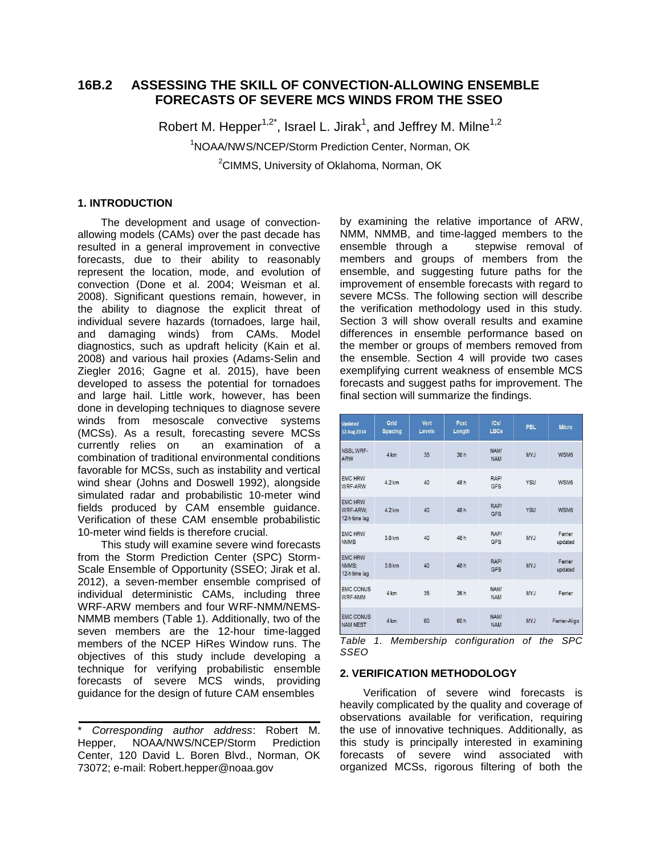# **16B.2 ASSESSING THE SKILL OF CONVECTION-ALLOWING ENSEMBLE FORECASTS OF SEVERE MCS WINDS FROM THE SSEO**

Robert M. Hepper<sup>1,2\*</sup>, Israel L. Jirak<sup>1</sup>, and Jeffrey M. Milne<sup>1,2</sup> <sup>1</sup>NOAA/NWS/NCEP/Storm Prediction Center, Norman, OK

<sup>2</sup>CIMMS, University of Oklahoma, Norman, OK

## **1. INTRODUCTION**

The development and usage of convectionallowing models (CAMs) over the past decade has resulted in a general improvement in convective forecasts, due to their ability to reasonably represent the location, mode, and evolution of convection (Done et al. 2004; Weisman et al. 2008). Significant questions remain, however, in the ability to diagnose the explicit threat of individual severe hazards (tornadoes, large hail, and damaging winds) from CAMs. Model diagnostics, such as updraft helicity (Kain et al. 2008) and various hail proxies (Adams-Selin and Ziegler 2016; Gagne et al. 2015), have been developed to assess the potential for tornadoes and large hail. Little work, however, has been done in developing techniques to diagnose severe winds from mesoscale convective systems (MCSs). As a result, forecasting severe MCSs currently relies on an examination of a combination of traditional environmental conditions favorable for MCSs, such as instability and vertical wind shear (Johns and Doswell 1992), alongside simulated radar and probabilistic 10-meter wind fields produced by CAM ensemble guidance. Verification of these CAM ensemble probabilistic 10-meter wind fields is therefore crucial.

This study will examine severe wind forecasts from the Storm Prediction Center (SPC) Storm-Scale Ensemble of Opportunity (SSEO; Jirak et al. 2012), a seven-member ensemble comprised of individual deterministic CAMs, including three WRF-ARW members and four WRF-NMM/NEMS-NMMB members (Table 1). Additionally, two of the seven members are the 12-hour time-lagged members of the NCEP HiRes Window runs. The objectives of this study include developing a technique for verifying probabilistic ensemble forecasts of severe MCS winds, providing guidance for the design of future CAM ensembles

by examining the relative importance of ARW, NMM, NMMB, and time-lagged members to the ensemble through a stepwise removal of members and groups of members from the ensemble, and suggesting future paths for the improvement of ensemble forecasts with regard to severe MCSs. The following section will describe the verification methodology used in this study. Section 3 will show overall results and examine differences in ensemble performance based on the member or groups of members removed from the ensemble. Section 4 will provide two cases exemplifying current weakness of ensemble MCS forecasts and suggest paths for improvement. The final section will summarize the findings.

| <b>Updated</b><br>12 Aug 2014               | Grid<br><b>Spacing</b> | <b>Vert</b><br>Levels | Fcst<br>Length | ICs/<br><b>LBCs</b> | <b>PBL</b> | <b>Micro</b>       |
|---------------------------------------------|------------------------|-----------------------|----------------|---------------------|------------|--------------------|
| NSSLWRF-<br><b>ARW</b>                      | 4 km                   | 35                    | 36 h           | NAM/<br><b>NAM</b>  | <b>MYJ</b> | WSM6               |
| <b>EMC HRW</b><br>WRF-ARW                   | 42 km                  | 40                    | 48 h           | RAP/<br><b>GFS</b>  | YSU        | WSM6               |
| <b>EMC HRW</b><br>WRF-ARW:<br>12-h time lag | 4.2 km                 | 40                    | 48h            | RAP/<br><b>GFS</b>  | YSU        | WSM6               |
| <b>EMC HRW</b><br><b>NMMB</b>               | 3.6 km                 | 40                    | 48h            | RAP/<br><b>GFS</b>  | MYJ        | Ferrier<br>updated |
| <b>EMC HRW</b><br>NMMB:<br>12-h time lag    | 3.6 km                 | 40                    | 48h            | RAP/<br><b>GFS</b>  | <b>MYJ</b> | Ferrier<br>updated |
| <b>EMC CONUS</b><br>WRF-NMM                 | 4 km                   | 35                    | 36 h           | NAM/<br><b>NAM</b>  | <b>MYJ</b> | Ferrier            |
| <b>EMC CONUS</b><br><b>NAM NEST</b>         | 4 km                   | 60                    | 60 h           | NAM/<br><b>NAM</b>  | <b>MYJ</b> | Ferrier-Aligo      |

*Table 1. Membership configuration of the SPC SSEO*

## **2. VERIFICATION METHODOLOGY**

Verification of severe wind forecasts is heavily complicated by the quality and coverage of observations available for verification, requiring the use of innovative techniques. Additionally, as this study is principally interested in examining forecasts of severe wind associated with organized MCSs, rigorous filtering of both the

<sup>\*</sup> *Corresponding author address*: Robert M. Hepper, NOAA/NWS/NCEP/Storm Prediction Center, 120 David L. Boren Blvd., Norman, OK 73072; e-mail: Robert.hepper@noaa.gov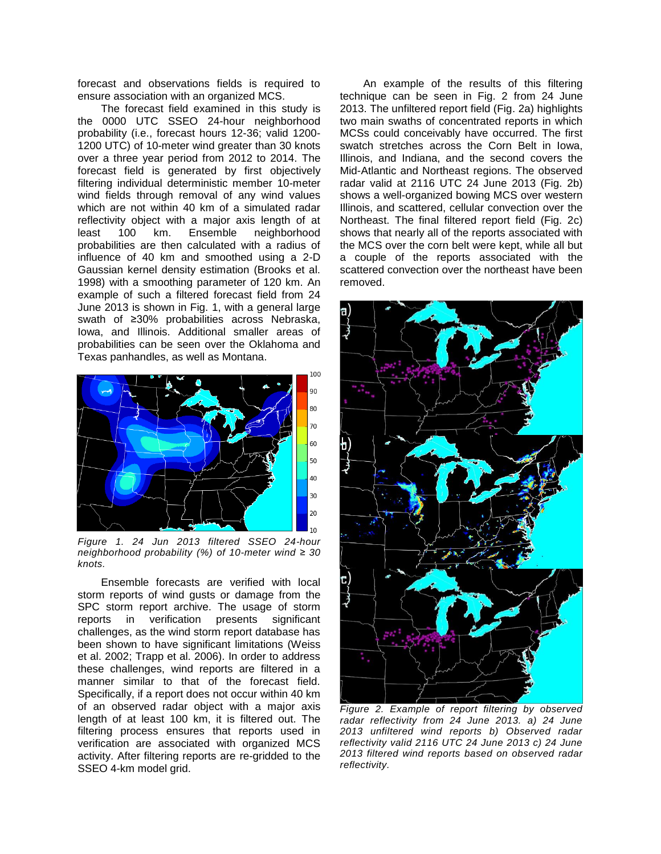forecast and observations fields is required to ensure association with an organized MCS.

The forecast field examined in this study is the 0000 UTC SSEO 24-hour neighborhood probability (i.e., forecast hours 12-36; valid 1200- 1200 UTC) of 10-meter wind greater than 30 knots over a three year period from 2012 to 2014. The forecast field is generated by first objectively filtering individual deterministic member 10-meter wind fields through removal of any wind values which are not within 40 km of a simulated radar reflectivity object with a major axis length of at least 100 km. Ensemble neighborhood probabilities are then calculated with a radius of influence of 40 km and smoothed using a 2-D Gaussian kernel density estimation (Brooks et al. 1998) with a smoothing parameter of 120 km. An example of such a filtered forecast field from 24 June 2013 is shown in Fig. 1, with a general large swath of ≥30% probabilities across Nebraska, Iowa, and Illinois. Additional smaller areas of probabilities can be seen over the Oklahoma and Texas panhandles, as well as Montana.



*Figure 1. 24 Jun 2013 filtered SSEO 24-hour neighborhood probability (%) of 10-meter wind ≥ 30 knots.*

Ensemble forecasts are verified with local storm reports of wind gusts or damage from the SPC storm report archive. The usage of storm reports in verification presents significant challenges, as the wind storm report database has been shown to have significant limitations (Weiss et al. 2002; Trapp et al. 2006). In order to address these challenges, wind reports are filtered in a manner similar to that of the forecast field. Specifically, if a report does not occur within 40 km of an observed radar object with a major axis length of at least 100 km, it is filtered out. The filtering process ensures that reports used in verification are associated with organized MCS activity. After filtering reports are re-gridded to the SSEO 4-km model grid.

An example of the results of this filtering technique can be seen in Fig. 2 from 24 June 2013. The unfiltered report field (Fig. 2a) highlights two main swaths of concentrated reports in which MCSs could conceivably have occurred. The first swatch stretches across the Corn Belt in Iowa, Illinois, and Indiana, and the second covers the Mid-Atlantic and Northeast regions. The observed radar valid at 2116 UTC 24 June 2013 (Fig. 2b) shows a well-organized bowing MCS over western Illinois, and scattered, cellular convection over the Northeast. The final filtered report field (Fig. 2c) shows that nearly all of the reports associated with the MCS over the corn belt were kept, while all but a couple of the reports associated with the scattered convection over the northeast have been removed.



*Figure 2. Example of report filtering by observed radar reflectivity from 24 June 2013. a) 24 June 2013 unfiltered wind reports b) Observed radar reflectivity valid 2116 UTC 24 June 2013 c) 24 June 2013 filtered wind reports based on observed radar reflectivity.*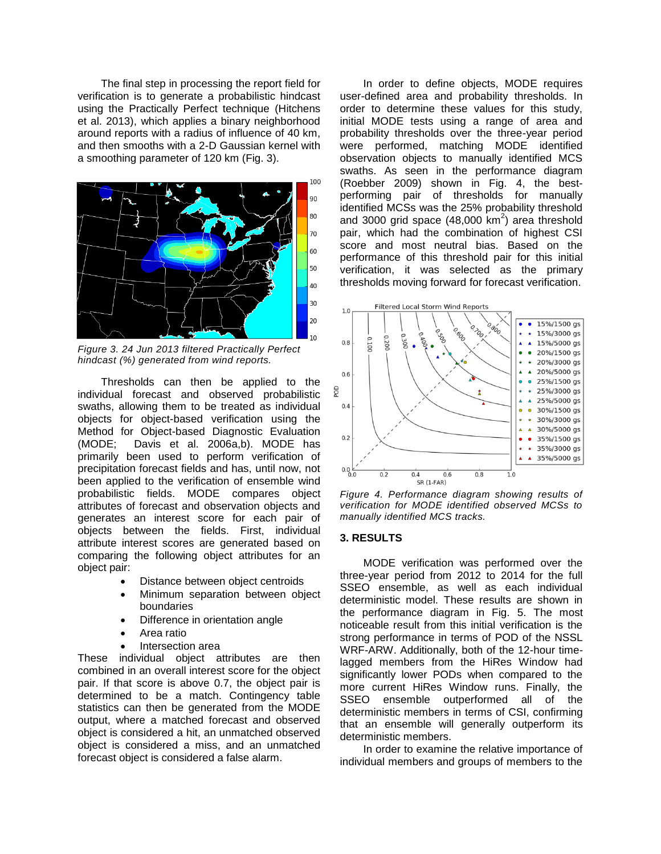The final step in processing the report field for verification is to generate a probabilistic hindcast using the Practically Perfect technique (Hitchens et al. 2013), which applies a binary neighborhood around reports with a radius of influence of 40 km, and then smooths with a 2-D Gaussian kernel with a smoothing parameter of 120 km (Fig. 3).



*Figure 3. 24 Jun 2013 filtered Practically Perfect hindcast (%) generated from wind reports.*

Thresholds can then be applied to the individual forecast and observed probabilistic swaths, allowing them to be treated as individual objects for object-based verification using the Method for Object-based Diagnostic Evaluation (MODE; Davis et al. 2006a,b). MODE has primarily been used to perform verification of precipitation forecast fields and has, until now, not been applied to the verification of ensemble wind probabilistic fields. MODE compares object attributes of forecast and observation objects and generates an interest score for each pair of objects between the fields. First, individual attribute interest scores are generated based on comparing the following object attributes for an object pair:

- Distance between object centroids
- Minimum separation between object boundaries
- Difference in orientation angle
- Area ratio
- Intersection area

These individual object attributes are then combined in an overall interest score for the object pair. If that score is above 0.7, the object pair is determined to be a match. Contingency table statistics can then be generated from the MODE output, where a matched forecast and observed object is considered a hit, an unmatched observed object is considered a miss, and an unmatched forecast object is considered a false alarm.

In order to define objects, MODE requires user-defined area and probability thresholds. In order to determine these values for this study, initial MODE tests using a range of area and probability thresholds over the three-year period were performed, matching MODE identified observation objects to manually identified MCS swaths. As seen in the performance diagram (Roebber 2009) shown in Fig. 4, the bestperforming pair of thresholds for manually identified MCSs was the 25% probability threshold and 3000 grid space  $(48,000 \text{ km}^2)$  area threshold pair, which had the combination of highest CSI score and most neutral bias. Based on the performance of this threshold pair for this initial verification, it was selected as the primary thresholds moving forward for forecast verification.



*Figure 4. Performance diagram showing results of verification for MODE identified observed MCSs to manually identified MCS tracks.*

#### **3. RESULTS**

MODE verification was performed over the three-year period from 2012 to 2014 for the full SSEO ensemble, as well as each individual deterministic model. These results are shown in the performance diagram in Fig. 5. The most noticeable result from this initial verification is the strong performance in terms of POD of the NSSL WRF-ARW. Additionally, both of the 12-hour timelagged members from the HiRes Window had significantly lower PODs when compared to the more current HiRes Window runs. Finally, the SSEO ensemble outperformed all of the deterministic members in terms of CSI, confirming that an ensemble will generally outperform its deterministic members.

In order to examine the relative importance of individual members and groups of members to the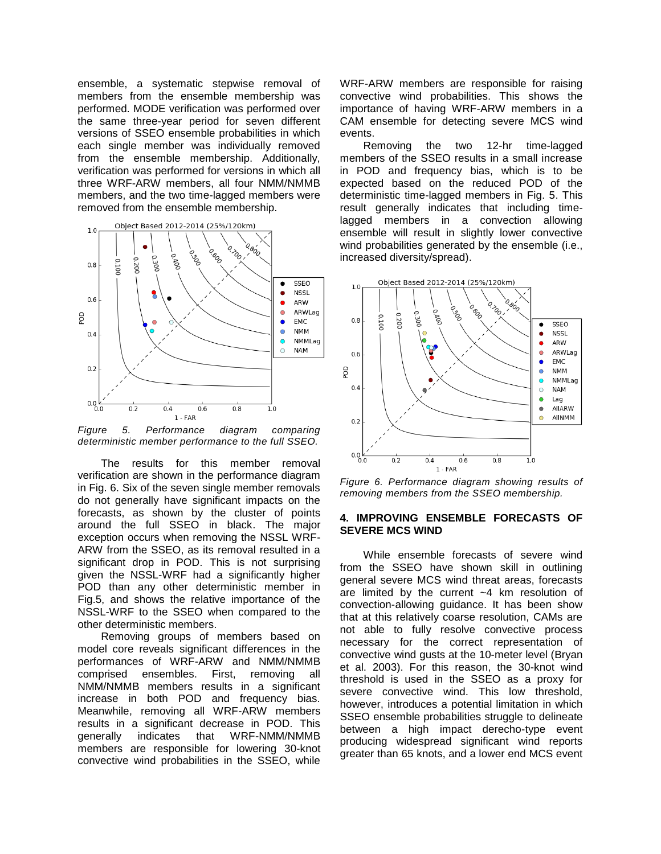ensemble, a systematic stepwise removal of members from the ensemble membership was performed. MODE verification was performed over the same three-year period for seven different versions of SSEO ensemble probabilities in which each single member was individually removed from the ensemble membership. Additionally, verification was performed for versions in which all three WRF-ARW members, all four NMM/NMMB members, and the two time-lagged members were removed from the ensemble membership.



*Figure 5. Performance diagram comparing deterministic member performance to the full SSEO.*

The results for this member removal verification are shown in the performance diagram in Fig. 6. Six of the seven single member removals do not generally have significant impacts on the forecasts, as shown by the cluster of points around the full SSEO in black. The major exception occurs when removing the NSSL WRF-ARW from the SSEO, as its removal resulted in a significant drop in POD. This is not surprising given the NSSL-WRF had a significantly higher POD than any other deterministic member in Fig.5, and shows the relative importance of the NSSL-WRF to the SSEO when compared to the other deterministic members.

Removing groups of members based on model core reveals significant differences in the performances of WRF-ARW and NMM/NMMB comprised ensembles. First, removing all NMM/NMMB members results in a significant increase in both POD and frequency bias. Meanwhile, removing all WRF-ARW members results in a significant decrease in POD. This generally indicates that WRF-NMM/NMMB members are responsible for lowering 30-knot convective wind probabilities in the SSEO, while

WRF-ARW members are responsible for raising convective wind probabilities. This shows the importance of having WRF-ARW members in a CAM ensemble for detecting severe MCS wind events.

Removing the two 12-hr time-lagged members of the SSEO results in a small increase in POD and frequency bias, which is to be expected based on the reduced POD of the deterministic time-lagged members in Fig. 5. This result generally indicates that including timelagged members in a convection allowing ensemble will result in slightly lower convective wind probabilities generated by the ensemble (i.e., increased diversity/spread).



*Figure 6. Performance diagram showing results of removing members from the SSEO membership.*

## **4. IMPROVING ENSEMBLE FORECASTS OF SEVERE MCS WIND**

While ensemble forecasts of severe wind from the SSEO have shown skill in outlining general severe MCS wind threat areas, forecasts are limited by the current ~4 km resolution of convection-allowing guidance. It has been show that at this relatively coarse resolution, CAMs are not able to fully resolve convective process necessary for the correct representation of convective wind gusts at the 10-meter level (Bryan et al. 2003). For this reason, the 30-knot wind threshold is used in the SSEO as a proxy for severe convective wind. This low threshold, however, introduces a potential limitation in which SSEO ensemble probabilities struggle to delineate between a high impact derecho-type event producing widespread significant wind reports greater than 65 knots, and a lower end MCS event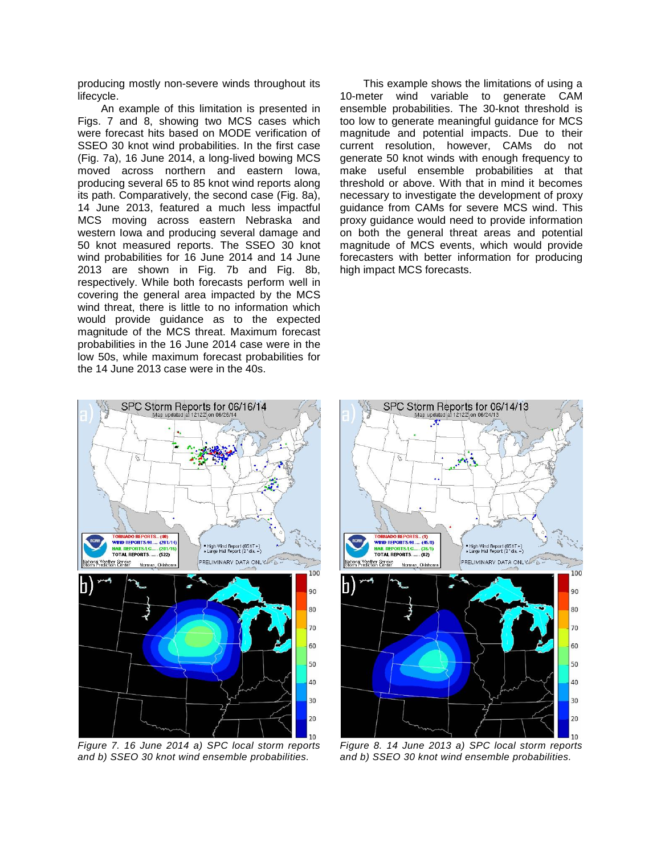producing mostly non-severe winds throughout its lifecycle.

An example of this limitation is presented in Figs. 7 and 8, showing two MCS cases which were forecast hits based on MODE verification of SSEO 30 knot wind probabilities. In the first case (Fig. 7a), 16 June 2014, a long-lived bowing MCS moved across northern and eastern Iowa, producing several 65 to 85 knot wind reports along its path. Comparatively, the second case (Fig. 8a), 14 June 2013, featured a much less impactful MCS moving across eastern Nebraska and western Iowa and producing several damage and 50 knot measured reports. The SSEO 30 knot wind probabilities for 16 June 2014 and 14 June 2013 are shown in Fig. 7b and Fig. 8b, respectively. While both forecasts perform well in covering the general area impacted by the MCS wind threat, there is little to no information which would provide guidance as to the expected magnitude of the MCS threat. Maximum forecast probabilities in the 16 June 2014 case were in the low 50s, while maximum forecast probabilities for the 14 June 2013 case were in the 40s.

This example shows the limitations of using a 10-meter wind variable to generate CAM ensemble probabilities. The 30-knot threshold is too low to generate meaningful guidance for MCS magnitude and potential impacts. Due to their current resolution, however, CAMs do not generate 50 knot winds with enough frequency to make useful ensemble probabilities at that threshold or above. With that in mind it becomes necessary to investigate the development of proxy guidance from CAMs for severe MCS wind. This proxy guidance would need to provide information on both the general threat areas and potential magnitude of MCS events, which would provide forecasters with better information for producing high impact MCS forecasts.



*Figure 7. 16 June 2014 a) SPC local storm reports and b) SSEO 30 knot wind ensemble probabilities.*



*Figure 8. 14 June 2013 a) SPC local storm reports and b) SSEO 30 knot wind ensemble probabilities.*